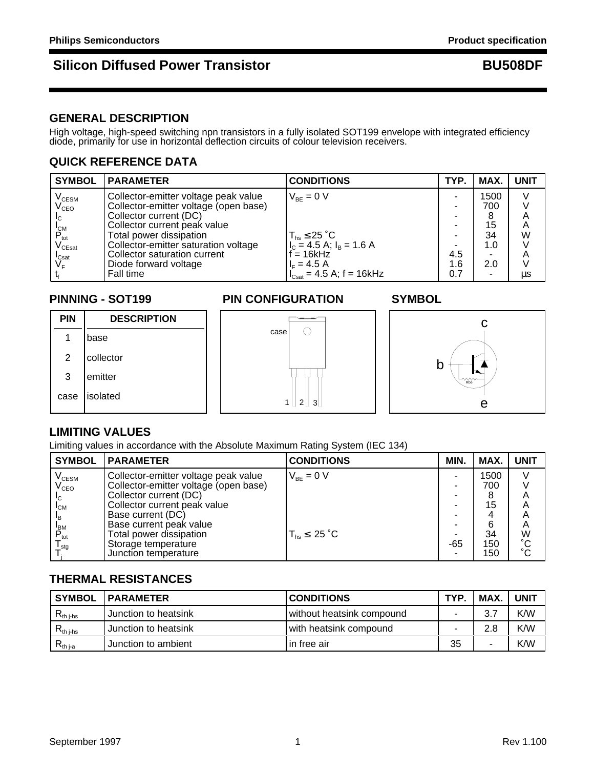# **Silicon Diffused Power Transistor Access 1997 1998 BU508DF**

### **GENERAL DESCRIPTION**

High voltage, high-speed switching npn transistors in a fully isolated SOT199 envelope with integrated efficiency diode, primarily for use in horizontal deflection circuits of colour television receivers.

# **QUICK REFERENCE DATA**

| <b>SYMBOL</b>                       | <b>PARAMETER</b>                      | <b>CONDITIONS</b>                                     | TYP. | MAX. | <b>UNIT</b> |
|-------------------------------------|---------------------------------------|-------------------------------------------------------|------|------|-------------|
| $\rm V_{\rm CESM}$                  | Collector-emitter voltage peak value  | $V_{BF} = 0 V$                                        |      | 1500 |             |
| $V_{\text{CEO}}$                    | Collector-emitter voltage (open base) |                                                       |      | 700  |             |
| $L_{\rm C}$                         | Collector current (DC)                |                                                       |      | 8    | Α           |
|                                     | Collector current peak value          |                                                       |      | 15   | A           |
| $P_{\text{tot}}$                    | Total power dissipation               | $T_{\text{hs}}$ $\leq$ 25 $^{\circ}$ C                |      | 34   | W           |
| $\mathsf{V}_{\mathsf{CEsat}}$       | Collector-emitter saturation voltage  | $I_c = 4.5$ A; $I_B = 1.6$ A                          |      | 1.0  |             |
|                                     | Collector saturation current          | $= 16kHz$                                             | 4.5  |      | Α           |
| I <sub>Csat</sub><br>V <sub>F</sub> | Diode forward voltage                 | $I_F = 4.5 A$                                         | 1.6  | 2.0  |             |
|                                     | Fall time                             | $I_{\text{Csat}} = 4.5 \text{ A}; f = 16 \text{ kHz}$ | 0.7  |      | μs          |

### **PINNING - SOT199 PIN CONFIGURATION SYMBOL**



# **LIMITING VALUES**

Limiting values in accordance with the Absolute Maximum Rating System (IEC 134)

| <b>SYMBOL</b>                     | <b>IPARAMETER</b>                     | <b>CONDITIONS</b>     | MIN. | MAX. | <b>UNIT</b>     |
|-----------------------------------|---------------------------------------|-----------------------|------|------|-----------------|
| $\mathsf{V}_{\text{\tiny{CESM}}}$ | Collector-emitter voltage peak value  | $V_{BF} = 0 V$        | -    | 1500 |                 |
| $\mathsf{V}_{\mathsf{CEO}}$       | Collector-emitter voltage (open base) |                       |      | 700  |                 |
|                                   | Collector current (DC)                |                       |      |      | Α               |
| $I_{CM}$                          | Collector current peak value          |                       | -    | 15   | Α               |
| <sup>1</sup> B                    | Base current (DC)                     |                       |      |      | А               |
| <b>BM</b>                         | Base current peak value               |                       | -    | 6    | A               |
| $P_{\text{tot}}$                  | Total power dissipation               | $T_{hs}$ $\leq$ 25 °C |      | 34   | W               |
| $\mathsf{I}_{\mathsf{stq}}$       | Storage temperature                   |                       | -65  | 150  | $\rm ^{\circ}C$ |
|                                   | Junction temperature                  |                       |      | 150  | $\tilde{C}$     |

## **THERMAL RESISTANCES**

| <b>SYMBOL</b>                   | <b>IPARAMETER</b>    | <b>CONDITIONS</b>         | TYP. | <b>MAX</b> | <b>UNIT</b> |
|---------------------------------|----------------------|---------------------------|------|------------|-------------|
| $R_{th\ j-hs}$                  | Junction to heatsink | without heatsink compound |      | 3.7        | K/W         |
| $\mathsf{r}_{\mathsf{th}}$ i-hs | Junction to heatsink | with heatsink compound    |      | 2.8        | K/W         |
| $R_{th\,ia}$                    | Junction to ambient  | in free air               | 35   | -          | K/W         |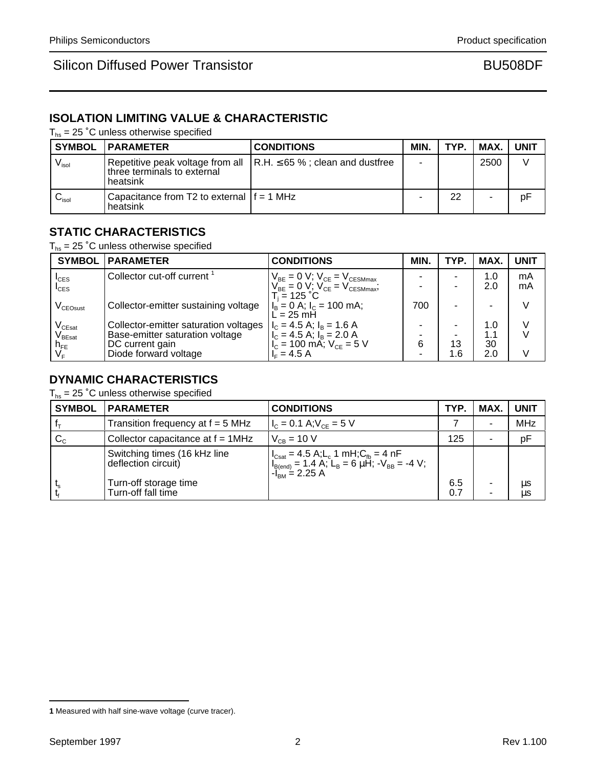# **ISOLATION LIMITING VALUE & CHARACTERISTIC**

 $T_{hs}$  = 25 °C unless otherwise specified

|                              | <b>SYMBOL   PARAMETER</b>                                | <b>CONDITIONS</b>                                                             | MIN. | TYP. | MAX. I         | <b>UNIT</b> |
|------------------------------|----------------------------------------------------------|-------------------------------------------------------------------------------|------|------|----------------|-------------|
| $\mathsf{V}_{\mathsf{isol}}$ | three terminals to external<br>heatsink                  | Repetitive peak voltage from all $\vert$ R.H. $\leq$ 65 %; clean and dustfree | ۰    |      | 2500           |             |
| $\mathsf{v}_\mathsf{isol}$   | l Capacitance from T2 to external If = 1 MHz<br>heatsink |                                                                               |      | 22   | $\blacksquare$ | pF          |

### **STATIC CHARACTERISTICS**

 $T_{hs}$  = 25 °C unless otherwise specified

|                                          | <b>SYMBOL   PARAMETER</b>              | <b>CONDITIONS</b>                                                                                                      | MIN. | TYP. | MAX. | <b>UNIT</b> |
|------------------------------------------|----------------------------------------|------------------------------------------------------------------------------------------------------------------------|------|------|------|-------------|
| $I_{CES}$                                | Collector cut-off current <sup>1</sup> | $\begin{cases} V_{BE} = 0 \text{ V}; V_{CE} = V_{CESMmax}, \\ V_{BE} = 0 \text{ V}; V_{CE} = V_{CESMmax}; \end{cases}$ |      | -    | 1.0  | mA          |
| $I_{\text{CES}}$                         |                                        |                                                                                                                        |      |      | 2.0  | mA          |
| V <sub>CEOsust</sub>                     | Collector-emitter sustaining voltage   | T. = 125 °C<br>$\begin{cases} I_B = 0 \text{ A}; I_C = 100 \text{ mA}; \\ L = 25 \text{ mH} \end{cases}$               | 700  | ۰.   |      |             |
|                                          | Collector-emitter saturation voltages  | $I_c = 4.5$ A; $I_B = 1.6$ A                                                                                           |      |      | 1.0  |             |
| V <sub>CEsat</sub><br>V <sub>BEsat</sub> | Base-emitter saturation voltage        |                                                                                                                        |      |      | 1.1  |             |
|                                          | DC current gain                        | $\begin{vmatrix} I_C = 4.5 \text{ A}; I_B = 2.0 \text{ A} \\ I_C = 100 \text{ mA}; V_{CE} = 5 \text{ V} \end{vmatrix}$ | 6    | 13   | 30   |             |
| h <sub>FE</sub><br>V <sub>F</sub>        | Diode forward voltage                  | $IE = 4.5 A$                                                                                                           |      | 1.6  | 2.0  |             |

# **DYNAMIC CHARACTERISTICS**

 $T_{hs}$  = 25 °C unless otherwise specified

| <b>SYMBOL</b> | <b>IPARAMETER</b>                                   | <b>CONDITIONS</b>                                                                                                                                                                                                                                               | TYP.       | MAX.                          | <b>UNIT</b>   |
|---------------|-----------------------------------------------------|-----------------------------------------------------------------------------------------------------------------------------------------------------------------------------------------------------------------------------------------------------------------|------------|-------------------------------|---------------|
|               | Transition frequency at $f = 5$ MHz                 | $I_c = 0.1 A; V_{CF} = 5 V$                                                                                                                                                                                                                                     |            | ۰                             | <b>MHz</b>    |
| $C_{C}$       | Collector capacitance at f = 1MHz                   | $V_{CB} = 10 V$                                                                                                                                                                                                                                                 | 125        | ٠                             | pF            |
|               | Switching times (16 kHz line<br>deflection circuit) | $\begin{cases}\n\log_{10} 1 = 4.5 \text{ A}; \ L_{\text{B}} = 1 \text{ mH}; C_{\text{fb}} = 4 \text{ nF} \\ \log_{10} 1 = 1.4 \text{ A}; \ L_{\text{B}} = 6 \text{ }\mu\text{H}; -V_{\text{BB}} = -4 \text{ V}; \ -I_{\text{BM}} = 2.25 \text{ A}\n\end{cases}$ |            |                               |               |
|               | Turn-off storage time<br>Turn-off fall time         |                                                                                                                                                                                                                                                                 | 6.5<br>0.7 | $\overline{\phantom{a}}$<br>۰ | μs<br>$\mu s$ |

**<sup>1</sup>** Measured with half sine-wave voltage (curve tracer).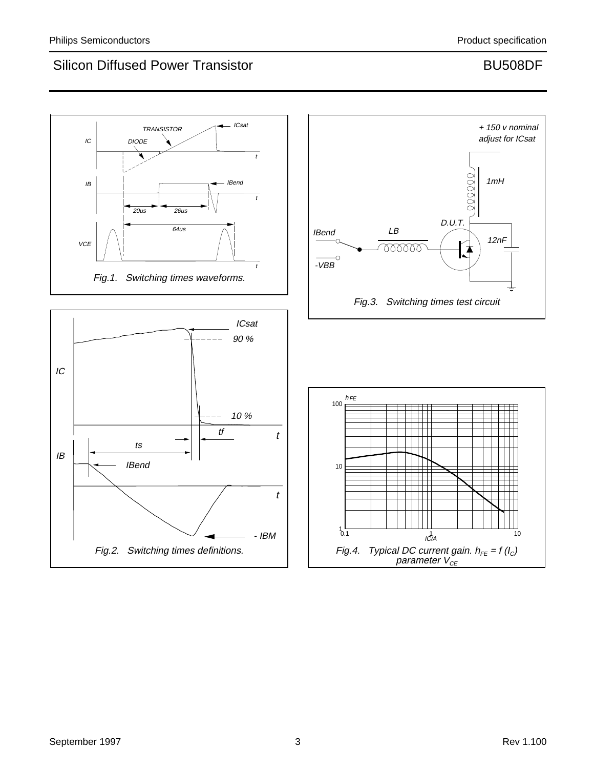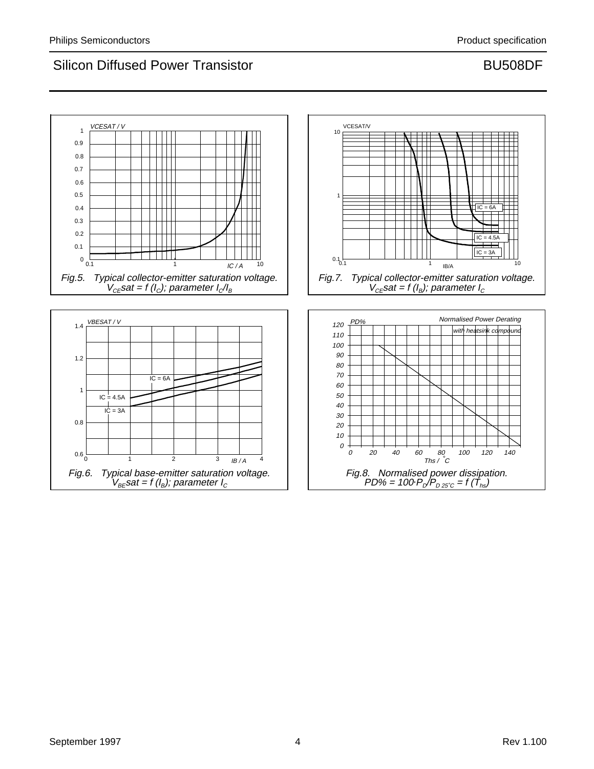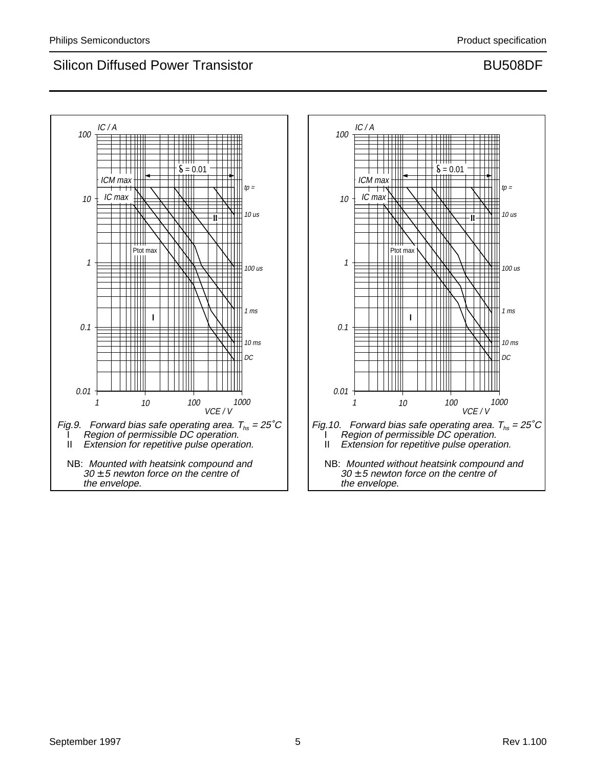

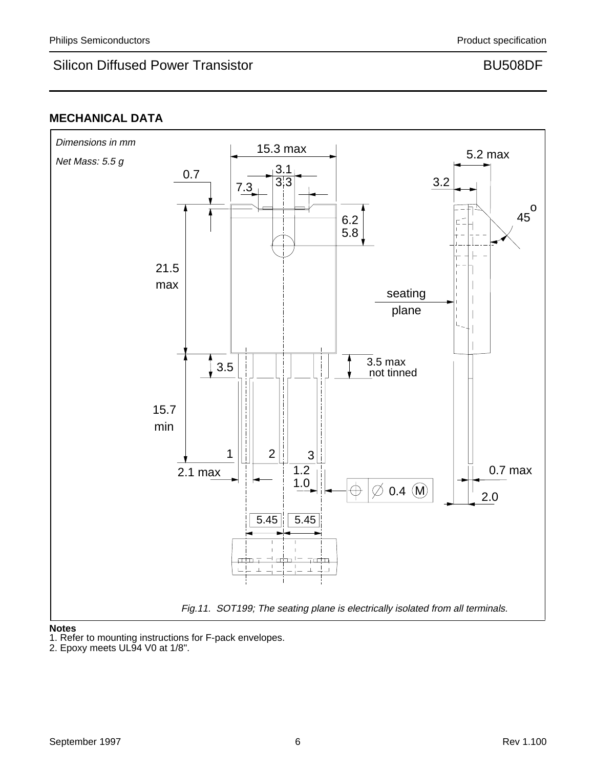# **MECHANICAL DATA**



### **Notes**

1. Refer to mounting instructions for F-pack envelopes.

<sup>2.</sup> Epoxy meets UL94 V0 at 1/8".